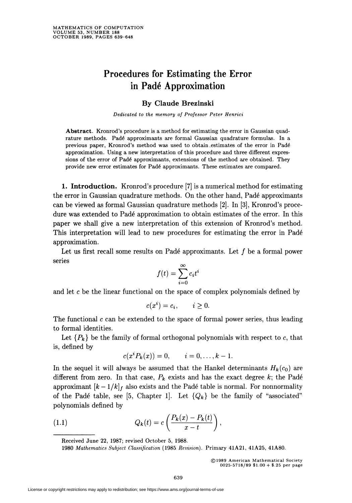## Procedures for Estimating the Error in Padé Approximation

## By Claude Brezinski

Dedicated to the memory of Professor Peter Henrici

Abstract. Kronrod's procedure is a method for estimating the error in Gaussian quadrature methods. Padé approximants are formal Gaussian quadrature formulas. In a previous paper, Kronrod's method was used to obtain .estimates of the error in Padé approximation. Using a new interpretation of this procedure and three different expressions of the error of Padé approximants, extensions of the method are obtained. They provide new error estimates for Padé approximants. These estimates are compared.

1. Introduction. Kronrod's procedure [7] is a numerical method for estimating the error in Gaussian quadrature methods. On the other hand, Padé approximants can be viewed as formal Gaussian quadrature methods [2]. In [3], Kronrod's procedure was extended to Padé approximation to obtain estimates of the error. In this paper we shall give a new interpretation of this extension of Kronrod's method. This interpretation will lead to new procedures for estimating the error in Padé approximation.

Let us first recall some results on Padé approximants. Let  $f$  be a formal power series

$$
f(t) = \sum_{i=0}^{\infty} c_i t^i
$$

and let c be the linear functional on the space of complex polynomials defined by

$$
c(x^i) = c_i, \qquad i \ge 0.
$$

The functional  $c$  can be extended to the space of formal power series, thus leading to formal identities.

Let  ${P_k}$  be the family of formal orthogonal polynomials with respect to c, that is, defined by

$$
c(xiPk(x)) = 0, \qquad i = 0, \ldots, k-1.
$$

In the sequel it will always be assumed that the Hankel determinants  $H_k(c_0)$  are different from zero. In that case,  $P_k$  exists and has the exact degree k; the Padé approximant  $[k-1/k]_f$  also exists and the Padé table is normal. For nonnormality of the Padé table, see [5, Chapter 1]. Let  ${Q_k}$  be the family of "associated" polynomials defined by

(1.1) 
$$
Q_k(t) = c \left( \frac{P_k(x) - P_k(t)}{x - t} \right),
$$

Received June 22, 1987; revised October 5, 1988.

1980 Mathematics Subject Classification (1985 Revision). Primary 41A21, 41A25, 41A80.

<sup>©1989</sup> American Mathematical Society 0025-5718/89 \$1.00 + \$.25 per page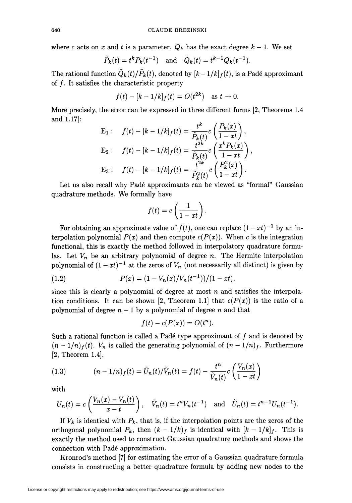where c acts on x and t is a parameter.  $Q_k$  has the exact degree  $k-1$ . We set

$$
\tilde{P}_k(t) = t^k P_k(t^{-1})
$$
 and  $\tilde{Q}_k(t) = t^{k-1} Q_k(t^{-1}).$ 

The rational function  $\tilde{Q}_k(t)/\tilde{P}_k(t)$ , denoted by  $[k-1/k]_f(t)$ , is a Padé approximant of  $f$ . It satisfies the characteristic property

$$
f(t) - [k - 1/k]_f(t) = O(t^{2k})
$$
 as  $t \to 0$ .

More precisely, the error can be expressed in three different forms [2, Theorems 1.4 and 1.17]:

$$
E_1: \t f(t) - [k - 1/k]_f(t) = \frac{t^k}{\tilde{P}_k(t)} c\left(\frac{P_k(x)}{1 - xt}\right),
$$
  
\n
$$
E_2: \t f(t) - [k - 1/k]_f(t) = \frac{t^{2k}}{\tilde{P}_k(t)} c\left(\frac{x^k P_k(x)}{1 - xt}\right),
$$
  
\n
$$
E_3: \t f(t) - [k - 1/k]_f(t) = \frac{t^{2k}}{\tilde{P}_k^2(t)} c\left(\frac{P_k^2(x)}{1 - xt}\right).
$$

Let us also recall why Padé approximants can be viewed as "formal" Gaussian quadrature methods. We formally have

$$
f(t)=c\left(\frac{1}{1-xt}\right)
$$

For obtaining an approximate value of  $f(t)$ , one can replace  $(1 - xt)^{-1}$  by an interpolation polynomial  $P(x)$  and then compute  $c(P(x))$ . When c is the integration functional, this is exactly the method followed in interpolatory quadrature formulas. Let  $V_n$  be an arbitrary polynomial of degree n. The Hermite interpolation polynomial of  $(1 - xt)^{-1}$  at the zeros of  $V_n$  (not necessarily all distinct) is given by

(1.2) 
$$
P(x) = (1 - V_n(x)/V_n(t^{-1}))/(1 - xt),
$$

since this is clearly a polynomial of degree at most  $n$  and satisfies the interpolation conditions. It can be shown [2, Theorem 1.1] that  $c(P(x))$  is the ratio of a polynomial of degree  $n-1$  by a polynomial of degree n and that

$$
f(t) - c(P(x)) = O(t^n)
$$

Such a rational function is called a Padé type approximant of  $f$  and is denoted by  $(n-1/n)<sub>f</sub>(t)$ .  $V_n$  is called the generating polynomial of  $(n-1/n)<sub>f</sub>$ . Furthermore [2, Theorem 1.4],

(1.3) 
$$
(n - 1/n) f(t) = \tilde{U}_n(t) / \tilde{V}_n(t) = f(t) - \frac{t^n}{\tilde{V}_n(t)} c \left( \frac{V_n(x)}{1 - xt} \right)
$$

with

$$
U_n(t) = c\left(\frac{V_n(x) - V_n(t)}{x - t}\right), \quad \tilde{V}_n(t) = t^n V_n(t^{-1}) \text{ and } \tilde{U}_n(t) = t^{n-1} U_n(t^{-1}).
$$

If  $V_k$  is identical with  $P_k$ , that is, if the interpolation points are the zeros of the orthogonal polynomial  $P_k$ , then  $(k - 1/k)_f$  is identical with  $\kappa - 1/k|_f$ . This is exactly the method used to construct Gaussian quadrature methods and shows the connection with Padé approximation.

Kronrod's method [7] for estimating the error of a Gaussian quadrature formula consists in constructing a better quadrature formula by adding new nodes to the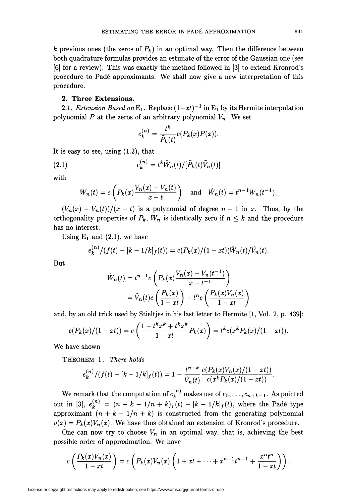k previous ones (the zeros of  $P_k$ ) in an optimal way. Then the difference between both quadrature formulas provides an estimate of the error of the Gaussian one (see [6] for a review). This was exactly the method followed in [3] to extend Kronrod's procedure to Padé approximants. We shall now give a new interpretation of this procedure.

## 2. Three Extensions.

2.1. Extension Based on E<sub>1</sub>. Replace  $(1-xt)^{-1}$  in E<sub>1</sub> by its Hermite interpolation polynomial P at the zeros of an arbitrary polynomial  $V_n$ . We set

$$
e_k^{(n)} = \frac{t^k}{\tilde{P}_k(t)} c(P_k(x)P(x)).
$$

It is easy to see, using  $(1.2)$ , that

(2.1) 
$$
e_k^{(n)} = t^k \tilde{W}_n(t) / [\tilde{P}_k(t)\tilde{V}_n(t)]
$$

with

$$
W_n(t) = c\left(P_k(x)\frac{V_n(x) - V_n(t)}{x - t}\right) \quad \text{and} \quad \tilde{W}_n(t) = t^{n-1}W_n(t^{-1}).
$$

 $(V_n(x) - V_n(t))/(x - t)$  is a polynomial of degree  $n - 1$  in x. Thus, by the orthogonality properties of  $P_k$ ,  $W_n$  is identically zero if  $n \leq k$  and the procedure has no interest.

Using  $E_1$  and  $(2.1)$ , we have

$$
e_k^{(n)}/(f(t) - [k-1/k]_f(t)) = c(P_k(x)/(1-xt))\tilde{W}_n(t)/\tilde{V}_n(t).
$$

But

$$
\tilde{W}_n(t) = t^{n-1} c \left( P_k(x) \frac{V_n(x) - V_n(t^{-1})}{x - t^{-1}} \right)
$$

$$
= \tilde{V}_n(t) c \left( \frac{P_k(x)}{1 - xt} \right) - t^n c \left( \frac{P_k(x) V_n(x)}{1 - xt} \right)
$$

and, by an old trick used by Stieltjes in his last letter to Hermite [1, Vol. 2, p. 439]:

$$
c(P_k(x)/(1-xt)) = c\left(\frac{1-t^kx^k+t^kx^k}{1-xt}P_k(x)\right) = t^k c(x^k P_k(x)/(1-xt)).
$$

We have shown

THEOREM l. There holds

$$
e_k^{(n)}/(f(t) - [k-1/k]_f(t)) = 1 - \frac{t^{n-k}}{\tilde{V}_n(t)} \frac{c(P_k(x)V_n(x)/(1-xt))}{c(x^k P_k(x)/(1-xt))}.
$$

We remark that the computation of  $e_k^{(n)}$  makes use of  $c_0, \ldots, c_{n+k-1}$ . As pointed out in [3],  $e_k^{(n)} = (n + k - 1/n + k) f(t) - [k - 1/k] f(t)$ , where the Padé type approximant  $(n + k - 1/n + k)$  is constructed from the generating polynomial  $v(x) = P_k(x)V_n(x)$ . We have thus obtained an extension of Kronrod's procedure.

One can now try to choose  $V_n$  in an optimal way, that is, achieving the best possible order of approximation. We have

$$
c\left(\frac{P_k(x)V_n(x)}{1-xt}\right)=c\left(P_k(x)V_n(x)\left(1+xt+\cdots+x^{n-1}t^{n-1}+\frac{x^nt^n}{1-xt}\right)\right).
$$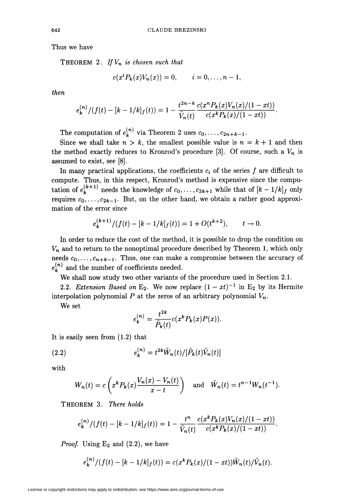Thus we have

THEOREM 2. If  $V_n$  is chosen such that

$$
c(x^i P_k(x)V_n(x)) = 0, \qquad i = 0, \ldots, n-1,
$$

then

$$
e_k^{(n)}/(f(t) - [k-1/k]_f(t)) = 1 - \frac{t^{2n-k}}{\tilde{V}_n(t)} \frac{c(x^n P_k(x)V_n(x)/(1 - xt))}{c(x^k P_k(x)/(1 - xt))}.
$$

The computation of  $e_k^{(n)}$  via Theorem 2 uses  $c_0, \ldots, c_{2n+k-1}$ .

Since we shall take  $n > k$ , the smallest possible value is  $n = k + 1$  and then the method exactly reduces to Kronrod's procedure [3]. Of course, such a  $V_n$  is assumed to exist, see [8].

In many practical applications, the coefficients  $c_i$  of the series  $f$  are difficult to compute. Thus, in this respect, Kronrod's method is expensive since the computation of  $e_k^{(k+1)}$  needs the knowledge of  $c_0, \ldots, c_{3k+1}$  while that of  $[k - 1/k]_f$  only requires  $c_0, \ldots, c_{2k-1}$ . But, on the other hand, we obtain a rather good approximation of the error since

$$
e_k^{(k+1)}/(f(t) - [k-1/k]_f(t)) = 1 + O(t^{k+2}), \qquad t \to 0.
$$

In order to reduce the cost of the method, it is possible to drop the condition on  $V_n$  and to return to the nonoptimal procedure described by Theorem 1, which only needs  $c_0, \ldots, c_{n+k-1}$ . Thus, one can make a compromise between the accuracy of  $e_k^{(n)}$  and the number of coefficients needed.

We shall now study two other variants of the procedure used in Section 2.1.

2.2. Extension Based on E<sub>2</sub>. We now replace  $(1 - xt)^{-1}$  in E<sub>2</sub> by its Hermite interpolation polynomial  $P$  at the zeros of an arbitrary polynomial  $V_n$ .

We set

$$
e_k^{(n)} = \frac{t^{2k}}{\tilde{P}_k(t)} c(x^k P_k(x) P(x)).
$$

It is easily seen from (1.2) that

(2.2) 
$$
e_k^{(n)} = t^{2k} \tilde{W}_n(t) / [\tilde{P}_k(t) \tilde{V}_n(t)]
$$

with

$$
W_n(t) = c\left(x^k P_k(x) \frac{V_n(x) - V_n(t)}{x - t}\right) \quad \text{and} \quad \tilde{W}_n(t) = t^{n-1} W_n(t^{-1}).
$$

THEOREM 3. There holds

$$
e_k^{(n)}/(f(t) - [k-1/k]_f(t)) = 1 - \frac{t^n}{\tilde{V}_n(t)} \frac{c(x^k P_k(x)V_n(x)/(1-xt))}{c(x^k P_k(x)/(1-xt))}.
$$

*Proof.* Using  $E_2$  and (2.2), we have

$$
e_k^{(n)}/(f(t) - [k-1/k]_f(t)) = c(x^k P_k(x)/(1-xt))\tilde{W}_n(t)/\tilde{V}_n(t).
$$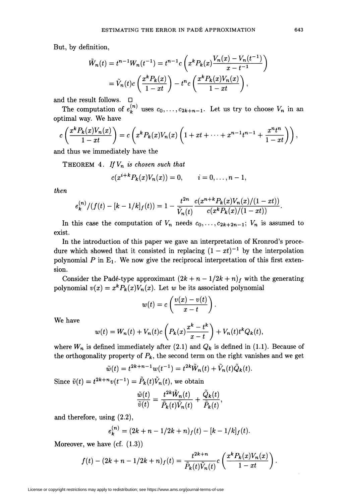But, by definition,

$$
\tilde{W}_n(t) = t^{n-1} W_n(t^{-1}) = t^{n-1} c \left( x^k P_k(x) \frac{V_n(x) - V_n(t^{-1})}{x - t^{-1}} \right)
$$

$$
= \tilde{V}_n(t) c \left( \frac{x^k P_k(x)}{1 - xt} \right) - t^n c \left( \frac{x^k P_k(x) V_n(x)}{1 - xt} \right),
$$

and the result follows.  $\quad \Box$ 

The computation of  $e_k^{(n)}$  uses  $c_0, \ldots, c_{2k+n-1}$ . Let us try to choose  $V_n$  in an optimal way. We have

$$
c\left(\frac{x^k P_k(x)V_n(x)}{1-xt}\right)=c\left(x^k P_k(x)V_n(x)\left(1+xt+\cdots+x^{n-1}t^{n-1}+\frac{x^nt^n}{1-xt}\right)\right),
$$

and thus we immediately have the

THEOREM 4. If  $V_n$  is chosen such that

$$
c(x^{i+k}P_k(x)V_n(x))=0, \qquad i=0,\ldots,n-1,
$$

then

$$
e_k^{(n)}/(f(t) - [k-1/k]_f(t)) = 1 - \frac{t^{2n}}{\tilde{V}_n(t)} \frac{c(x^{n+k} P_k(x) V_n(x)/(1-xt))}{c(x^k P_k(x)/(1-xt))}
$$

In this case the computation of  $V_n$  needs  $c_0, \ldots, c_{2k+2n-1}$ ;  $V_n$  is assumed to exist.

In the introduction of this paper we gave an interpretation of Kronrod's procedure which showed that it consisted in replacing  $(1 - xt)^{-1}$  by the interpolation polynomial  $P$  in  $E_1$ . We now give the reciprocal interpretation of this first extension.

Consider the Padé-type approximant  $(2k + n - 1/2k + n)$  with the generating polynomial  $v(x) = x^k P_k(x) V_n(x)$ . Let w be its associated polynomial

$$
w(t) = c\left(\frac{v(x) - v(t)}{x - t}\right).
$$

We have

$$
w(t) = W_n(t) + V_n(t)c\left(P_k(x)\frac{x^k - t^k}{x - t}\right) + V_n(t)t^k Q_k(t),
$$

where  $W_n$  is defined immediately after (2.1) and  $Q_k$  is defined in (1.1). Because of the orthogonality property of  $P_k$ , the second term on the right vanishes and we get

$$
\tilde{w}(t) = t^{2k+n-1} w(t^{-1}) = t^{2k} \tilde{W}_n(t) + \tilde{V}_n(t) \tilde{Q}_k(t).
$$

Since  $\tilde{v}(t) = t^{2k+n}v(t^{-1}) = \tilde{P}_k(t)\tilde{V}_n(t)$ , we obtain

$$
\frac{\tilde{w}(t)}{\tilde{v}(t)}=\frac{t^{2k}\tilde{W}_n(t)}{\tilde{P}_k(t)\tilde{V}_n(t)}+\frac{\tilde{Q}_k(t)}{\tilde{P}_k(t)},
$$

and therefore, using (2.2),

$$
e_k^{(n)} = (2k + n - 1/2k + n) f(t) - [k - 1/k] f(t).
$$

Moreover, we have  $(cf. (1.3))$ 

$$
f(t) - (2k + n - 1/2k + n) f(t) = \frac{t^{2k+n}}{\tilde{P}_k(t)\tilde{V}_n(t)} c\left(\frac{x^k P_k(x)V_n(x)}{1 - xt}\right).
$$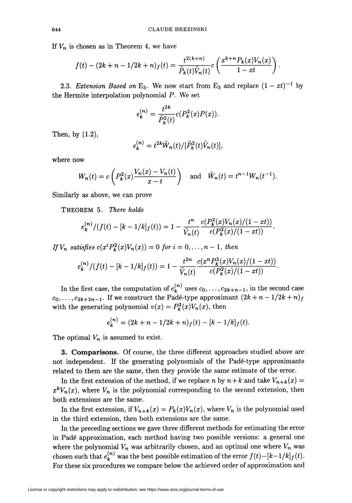If  $V_n$  is chosen as in Theorem 4, we have

$$
f(t) - (2k + n - 1/2k + n) f(t) = \frac{t^{2(k+n)}}{\tilde{P}_k(t)\tilde{V}_n(t)} c\left(\frac{x^{k+n} P_k(x) V_n(x)}{1 - xt}\right).
$$

2.3. Extension Based on E<sub>3</sub>. We now start from E<sub>3</sub> and replace  $(1 - xt)^{-1}$  by the Hermite interpolation polynomial P. We set

$$
e_k^{(n)} = \frac{t^{2k}}{\tilde{P}_k^2(t)} c(P_k^2(x)P(x)).
$$

Then, by (1.2),

$$
e_k^{(n)} = t^{2k} \tilde{W}_n(t) / [\tilde{P}_k^2(t) \tilde{V}_n(t)]
$$

where now

$$
W_n(t) = c \left( P_k^2(x) \frac{V_n(x) - V_n(t)}{x - t} \right) \quad \text{and} \quad \tilde{W}_n(t) = t^{n-1} W_n(t^{-1}).
$$

Similarly as above, we can prove

THEOREM 5. There holds

$$
e_k^{(n)}/(f(t) - [k-1/k]_f(t)) = 1 - \frac{t^n}{\tilde{V}_n(t)} \frac{c(P_k^2(x)V_n(x)/(1-xt))}{c(P_k^2(x)/(1-xt))}.
$$

If  $V_n$  satisfies  $c(x^i P_k^2(x)V_n(x)) = 0$  for  $i = 0, \ldots, n-1$ , then

$$
e_k^{(n)}/(f(t) - [k-1/k]_f(t)) = 1 - \frac{t^{2n}}{\tilde{V}_n(t)} \frac{c(x^n P_k^2(x)V_n(x)/(1-xt))}{c(P_k^2(x)/(1-xt))}.
$$

In the first case, the computation of  $e^{(n)}_k$  uses  $c_0, \ldots, c_{2k+n-1}$ , in the second case  $c_0, \ldots, c_{2k+2n-1}$ . If we construct the Padé-type approximant  $(2k+n-1/2k+n)_f$ with the generating polynomial  $v(x) = P_k^2(x)V_n(x)$ , then

$$
e_k^{(n)} = (2k + n - 1/2k + n) f(t) - [k - 1/k] f(t).
$$

The optimal  $V_n$  is assumed to exist.

3. Comparisons. Of course, the three different approaches studied above are not independent. If the generating polynomials of the Padé-type approximants related to them are the same, then they provide the same estimate of the error.

In the first extension of the method, if we replace n by  $n + k$  and take  $V_{n+k}(x) =$  $x^kV_n(x)$ , where  $V_n$  is the polynomial corresponding to the second extension, then both extensions are the same.

In the first extension, if  $V_{n+k}(x) = P_k(x)V_n(x)$ , where  $V_n$  is the polynomial used in the third extension, then both extensions are the same.

In the preceding sections we gave three different methods for estimating the error in Padé approximation, each method having two possible versions: a general one where the polynomial  $V_n$  was arbitrarily chosen, and an optimal one where  $V_n$  was chosen such that  $e_k^{(n)}$  was the best possible estimation of the error  $f(t) - [k-1/k]_f(t)$ . For these six procedures we compare below the achieved order of approximation and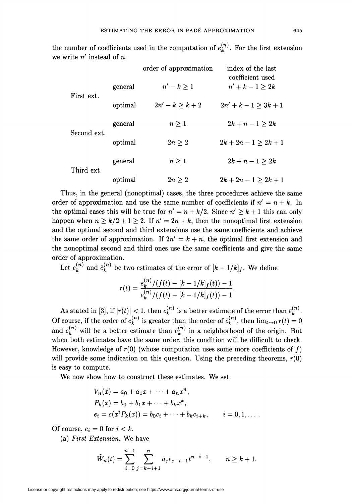|             |         | order of approximation | index of the last<br>coefficient used |
|-------------|---------|------------------------|---------------------------------------|
| First ext.  | general | $n'-k\geq 1$           | $n' + k - 1 \geq 2k$                  |
|             | optimal | $2n' - k > k + 2$      | $2n' + k - 1 \geq 3k + 1$             |
| Second ext. | general | $n \geq 1$             | $2k + n - 1 \geq 2k$                  |
|             | optimal | $2n\geq 2$             | $2k + 2n - 1 \geq 2k + 1$             |
| Third ext.  | general | $n\geq 1$              | $2k + n - 1 \geq 2k$                  |
|             | optimal | $2n \geq 2$            | $2k + 2n - 1 \geq 2k + 1$             |

the number of coefficients used in the computation of  $e_k^{(n)}$ . For the first extension we write  $n'$  instead of  $n$ .

Thus, in the general (nonoptimal) cases, the three procedures achieve the same order of approximation and use the same number of coefficients if  $n' = n + k$ . In the optimal cases this will be true for  $n' = n + k/2$ . Since  $n' \ge k + 1$  this can only happen when  $n \ge k/2 + 1 \ge 2$ . If  $n' = 2n + k$ , then the nonoptimal first extension and the optimal second and third extensions use the same coefficients and achieve the same order of approximation. If  $2n' = k + n$ , the optimal first extension and the nonoptimal second and third ones use the same coefficients and give the same order of approximation.

Let  $e_k^{(n)}$  and  $\bar{e}_k^{(n)}$  be two estimates of the error of  $[k-1/k]_f$ . We define

$$
r(t)=\frac{e_{k}^{(n)}/(f(t)-[k-1/k]_{f}(t))-1}{\bar{e}_{k}^{(n)}/(f(t)-[k-1/k]_{f}(t))-1}.
$$

As stated in [3], if  $|r(t)| < 1$ , then  $e_k^{(n)}$  is a better estimate of the error than  $\bar{e}_k^{(n)}$ . Of course, if the order of  $e_k^{(n)}$  is greater than the order of  $\bar{e}_k^{(n)}$ , then  $\lim_{t\to 0} r(t) = 0$ and  $e_k^{(n)}$  will be a better estimate than  $\bar{e}_k^{(n)}$  in a neighborhood of the origin. But when both estimates have the same order, this condition will be difficult to check. However, knowledge of  $r(0)$  (whose computation uses some more coefficients of f) will provide some indication on this question. Using the preceding theorems,  $r(0)$ is easy to compute.

We now show how to construct these estimates. We set

$$
V_n(x) = a_0 + a_1 x + \dots + a_n x^n,
$$
  
\n
$$
P_k(x) = b_0 + b_1 x + \dots + b_k x^k,
$$
  
\n
$$
e_i = c(x^i P_k(x)) = b_0 c_i + \dots + b_k c_{i+k}, \qquad i = 0, 1, \dots.
$$

Of course,  $e_i = 0$  for  $i < k$ .

(a) First Extension. We have

$$
\tilde{W}_n(t) = \sum_{i=0}^{n-1} \sum_{j=k+i+1}^n a_j e_{j-i-1} t^{n-i-1}, \qquad n \ge k+1.
$$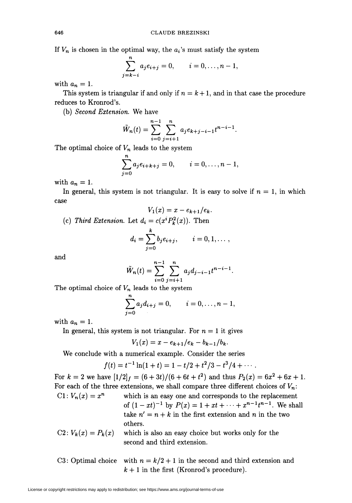If  $V_n$  is chosen in the optimal way, the  $a_i$ 's must satisfy the system

$$
\sum_{j=k-i}^{n} a_j e_{i+j} = 0, \qquad i = 0, \ldots, n-1,
$$

with  $a_n = 1$ .

This system is triangular if and only if  $n = k + 1$ , and in that case the procedure reduces to Kronrod's.

(b) Second Extension. We have

$$
\tilde{W}_n(t) = \sum_{i=0}^{n-1} \sum_{j=i+1}^n a_j e_{k+j-i-1} t^{n-i-1}.
$$

The optimal choice of  $V_n$  leads to the system

$$
\sum_{j=0}^{n} a_j e_{i+k+j} = 0, \qquad i = 0, \ldots, n-1,
$$

with  $a_n = 1$ .

In general, this system is not triangular. It is easy to solve if  $n = 1$ , in which case

$$
V_1(x)=x-e_{k+1}/e_k.
$$

(c) Third Extension. Let  $d_i = c(x^i P_k^2(x))$ . Then

$$
d_i = \sum_{j=0}^k b_j e_{i+j}, \qquad i = 0, 1, \ldots,
$$

and

$$
\tilde{W}_n(t) = \sum_{i=0}^{n-1} \sum_{j=i+1}^n a_j d_{j-i-1} t^{n-i-1}.
$$

The optimal choice of  $V_n$  leads to the system

$$
\sum_{j=0}^{n} a_j d_{i+j} = 0, \qquad i = 0, \ldots, n-1,
$$

with  $a_n = 1$ .

In general, this system is not triangular. For  $n = 1$  it gives

$$
V_1(x) = x - e_{k+1}/e_k - b_{k-1}/b_k.
$$

We conclude with a numerical example. Consider the series

$$
f(t) = t^{-1} \ln(1+t) = 1 - t/2 + t^2/3 - t^3/4 + \cdots
$$

For  $k = 2$  we have  $[1/2]_f = (6 + 3t)/(6 + 6t + t^2)$  and thus  $P_2(x) = 6x^2 + 6x + 1$ . For each of the three extensions, we shall compare three different choices of  $V_n$ :  $C1: V_n(x) = x^n$  which is an easy one and corresponds to the replacement of  $(1 - xt)^{-1}$  by  $P(x) = 1 + xt + \cdots + x^{n-1}t^{n-1}$ . We shall take  $n' = n + k$  in the first extension and n in the two others.  $C2: V_k(x) = P_k(x)$  which is also an easy choice but works only for the

- second and third extension.
- C3: Optimal choice with  $n = k/2 + 1$  in the second and third extension and  $k + 1$  in the first (Kronrod's procedure).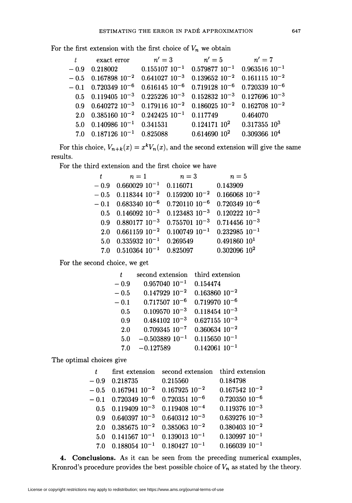For the first extension with the first choice of  $V_n$  we obtain

| t      | exact error                      | $n'=3$               | $n'=5$               | $n'=7$               |
|--------|----------------------------------|----------------------|----------------------|----------------------|
| $-0.9$ | 0.218002                         | $0.155107$ $10^{-1}$ | $0.579877$ $10^{-1}$ | $0.963516 10^{-1}$   |
|        | $-0.5$ 0.167898 10 <sup>-2</sup> | $0.641027$ $10^{-3}$ | $0.139652$ $10^{-2}$ | $0.161115$ $10^{-2}$ |
| $-0.1$ | $0.720349\;10^{-6}$              | $0.616145$ $10^{-6}$ | $0.719128$ $10^{-6}$ | $0.720339$ $10^{-6}$ |
|        | $0.5$ 0.119405 $10^{-3}$         | $0.225226$ $10^{-3}$ | $0.152832$ $10^{-3}$ | $0.127696$ $10^{-3}$ |
|        | $0.9$ 0.640272 $10^{-3}$         | $0.179116$ $10^{-2}$ | $0.186025$ $10^{-2}$ | $0.162708$ $10^{-2}$ |
| 2.0    | $0.385160$ $10^{-2}$             | $0.242425$ $10^{-1}$ | 0.117749             | 0.464070             |
| 5.0    | $0.140986$ $10^{-1}$             | 0.341531             | $0.124171$ $10^2$    | $0.317355\ 10^3$     |
| 7.0    | $0.187126\,\,10^{-1}$            | 0.825088             | $0.614690\;10^2$     | $0.309366$ $104$     |

For this choice,  $V_{n+k}(x) = x^k V_n(x)$ , and the second extension will give the same results.

For the third extension and the first choice we have

| t      | $n=1$                    | $n=3$                | $n=5$                |
|--------|--------------------------|----------------------|----------------------|
| $-0.9$ | $0.660029$ $10^{-1}$     | 0.116071             | 0.143909             |
| $-0.5$ | $0.118344$ $10^{-2}$     | $0.159200$ $10^{-2}$ | $0.166068$ $10^{-2}$ |
| $-0.1$ | $0.683340$ $10^{-6}$     | $0.720110$ $10^{-6}$ | $0.720349$ $10^{-6}$ |
|        | $0.5$ 0.146092 $10^{-3}$ | $0.123483$ $10^{-3}$ | $0.120222$ $10^{-3}$ |
| 0.9    | $0.880177\;10^{-3}$      | $0.755701$ $10^{-3}$ | $0.714456$ $10^{-3}$ |
| 2.0    | $0.661159\;10^{-2}$      | $0.100749$ $10^{-1}$ | $0.232985$ $10^{-1}$ |
| 5.0    | $\,0.335932\,10^{-1}$    | 0.269549             | 0.491860 101         |
| 7.0    | $\,0.510364\,$ $10^{-1}$ | 0.825097             | $0.302096$ $10^2$    |
|        |                          |                      |                      |

For the second choice, we get

| t        | second extension     | third extension      |
|----------|----------------------|----------------------|
| - 0.9    | $0.957040$ $10^{-1}$ | 0.154474             |
| - 0.5    | $0.147929$ $10^{-2}$ | $0.163860$ $10^{-2}$ |
| $-\,0.1$ | $0.717507$ $10^{-6}$ | $0.719970$ $10^{-6}$ |
| 0.5      | $0.109570$ $10^{-3}$ | $0.118454$ $10^{-3}$ |
| 0.9      | $0.484102$ $10^{-3}$ | $0.627155$ $10^{-3}$ |
| 2.0      | $0.709345$ $10^{-7}$ | $0.360634$ $10^{-2}$ |
| 5.0      | $-0.503889 10^{-1}$  | $0.115650 10^{-1}$   |
| 7.0      | $-0.127589$          | $0.142061$ $10^{-1}$ |

The optimal choices give

| t       | first extension                  | second extension     | third extension      |
|---------|----------------------------------|----------------------|----------------------|
| $-0.9$  | 0.218735                         | 0.215560             | 0.184798             |
|         | $-0.5$ 0.167941 10 <sup>-2</sup> | $0.167925$ $10^{-2}$ | $0.167542$ $10^{-2}$ |
|         | $-0.1$ 0.720349 10 <sup>-6</sup> | $0.720351$ $10^{-6}$ | $0.720350$ $10^{-6}$ |
|         | $0.5$ 0.119409 $10^{-3}$         | $0.119408$ $10^{-4}$ | $0.119376$ $10^{-3}$ |
| 0.9     | $0.640397$ $10^{-3}$             | $0.640312$ $10^{-3}$ | $0.639276$ $10^{-3}$ |
| 2.0     | $0.385675$ $10^{-2}$             | $0.385063$ $10^{-2}$ | $0.380403$ $10^{-2}$ |
| $5.0\,$ | $0.141567$ $10^{-1}$             | $0.139013$ $10^{-1}$ | $0.130997$ $10^{-1}$ |
| 7.0     | $0.188054$ $10^{-1}$             | $0.180427$ $10^{-1}$ | $0.166039 10^{-1}$   |

4. Conclusions. As it can be seen from the preceding numerical examples, Kronrod's procedure provides the best possible choice of  $V_n$  as stated by the theory.